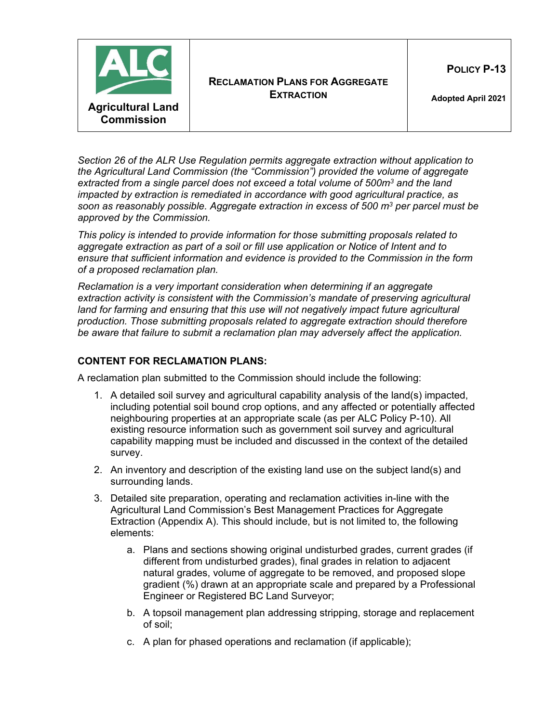

*Section 26 of the ALR Use Regulation permits aggregate extraction without application to the Agricultural Land Commission (the "Commission") provided the volume of aggregate extracted from a single parcel does not exceed a total volume of 500m3 and the land impacted by extraction is remediated in accordance with good agricultural practice, as soon as reasonably possible. Aggregate extraction in excess of 500 m3 per parcel must be approved by the Commission.*

*This policy is intended to provide information for those submitting proposals related to aggregate extraction as part of a soil or fill use application or Notice of Intent and to ensure that sufficient information and evidence is provided to the Commission in the form of a proposed reclamation plan.*

*Reclamation is a very important consideration when determining if an aggregate extraction activity is consistent with the Commission's mandate of preserving agricultural land for farming and ensuring that this use will not negatively impact future agricultural production. Those submitting proposals related to aggregate extraction should therefore be aware that failure to submit a reclamation plan may adversely affect the application.*

## **CONTENT FOR RECLAMATION PLANS:**

A reclamation plan submitted to the Commission should include the following:

- 1. A detailed soil survey and agricultural capability analysis of the land(s) impacted, including potential soil bound crop options, and any affected or potentially affected neighbouring properties at an appropriate scale (as per ALC Policy P-10). All existing resource information such as government soil survey and agricultural capability mapping must be included and discussed in the context of the detailed survey.
- 2. An inventory and description of the existing land use on the subject land(s) and surrounding lands.
- 3. Detailed site preparation, operating and reclamation activities in-line with the Agricultural Land Commission's Best Management Practices for Aggregate Extraction (Appendix A). This should include, but is not limited to, the following elements:
	- a. Plans and sections showing original undisturbed grades, current grades (if different from undisturbed grades), final grades in relation to adjacent natural grades, volume of aggregate to be removed, and proposed slope gradient (%) drawn at an appropriate scale and prepared by a Professional Engineer or Registered BC Land Surveyor;
	- b. A topsoil management plan addressing stripping, storage and replacement of soil;
	- c. A plan for phased operations and reclamation (if applicable);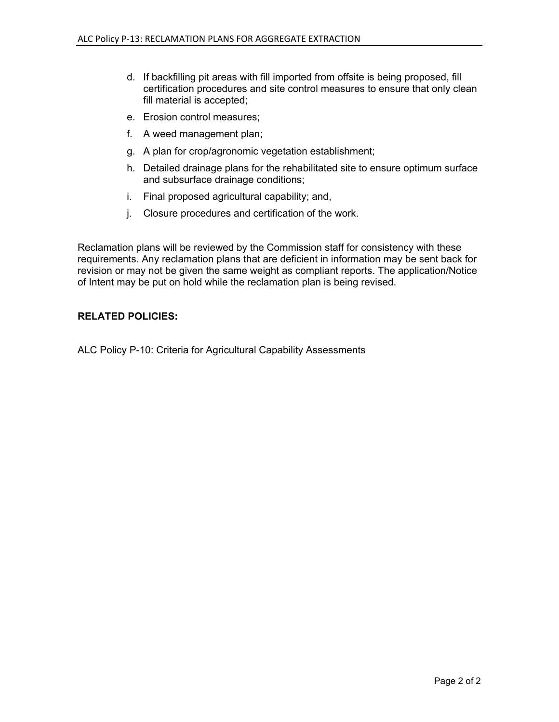- d. If backfilling pit areas with fill imported from offsite is being proposed, fill certification procedures and site control measures to ensure that only clean fill material is accepted;
- e. Erosion control measures;
- f. A weed management plan;
- g. A plan for crop/agronomic vegetation establishment;
- h. Detailed drainage plans for the rehabilitated site to ensure optimum surface and subsurface drainage conditions;
- i. Final proposed agricultural capability; and,
- j. Closure procedures and certification of the work.

Reclamation plans will be reviewed by the Commission staff for consistency with these requirements. Any reclamation plans that are deficient in information may be sent back for revision or may not be given the same weight as compliant reports. The application/Notice of Intent may be put on hold while the reclamation plan is being revised.

## **RELATED POLICIES:**

ALC Policy P-10: Criteria for Agricultural Capability Assessments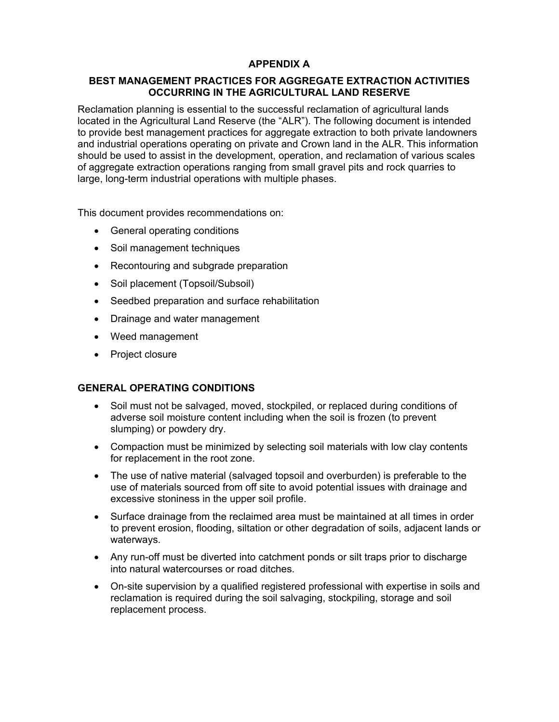# **APPENDIX A**

### **BEST MANAGEMENT PRACTICES FOR AGGREGATE EXTRACTION ACTIVITIES OCCURRING IN THE AGRICULTURAL LAND RESERVE**

Reclamation planning is essential to the successful reclamation of agricultural lands located in the Agricultural Land Reserve (the "ALR"). The following document is intended to provide best management practices for aggregate extraction to both private landowners and industrial operations operating on private and Crown land in the ALR. This information should be used to assist in the development, operation, and reclamation of various scales of aggregate extraction operations ranging from small gravel pits and rock quarries to large, long-term industrial operations with multiple phases.

This document provides recommendations on:

- General operating conditions
- Soil management techniques
- Recontouring and subgrade preparation
- Soil placement (Topsoil/Subsoil)
- Seedbed preparation and surface rehabilitation
- Drainage and water management
- Weed management
- Project closure

### **GENERAL OPERATING CONDITIONS**

- Soil must not be salvaged, moved, stockpiled, or replaced during conditions of adverse soil moisture content including when the soil is frozen (to prevent slumping) or powdery dry.
- Compaction must be minimized by selecting soil materials with low clay contents for replacement in the root zone.
- The use of native material (salvaged topsoil and overburden) is preferable to the use of materials sourced from off site to avoid potential issues with drainage and excessive stoniness in the upper soil profile.
- Surface drainage from the reclaimed area must be maintained at all times in order to prevent erosion, flooding, siltation or other degradation of soils, adjacent lands or waterways.
- Any run-off must be diverted into catchment ponds or silt traps prior to discharge into natural watercourses or road ditches.
- On-site supervision by a qualified registered professional with expertise in soils and reclamation is required during the soil salvaging, stockpiling, storage and soil replacement process.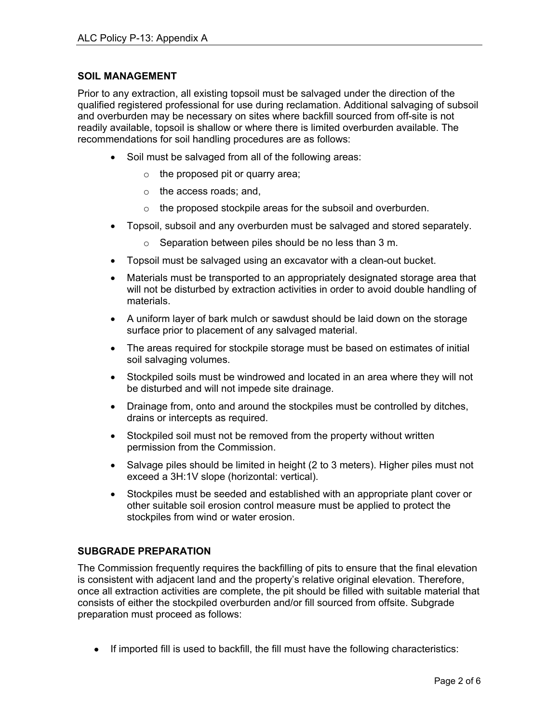## **SOIL MANAGEMENT**

Prior to any extraction, all existing topsoil must be salvaged under the direction of the qualified registered professional for use during reclamation. Additional salvaging of subsoil and overburden may be necessary on sites where backfill sourced from off-site is not readily available, topsoil is shallow or where there is limited overburden available. The recommendations for soil handling procedures are as follows:

- Soil must be salvaged from all of the following areas:
	- $\circ$  the proposed pit or quarry area;
	- o the access roads; and,
	- o the proposed stockpile areas for the subsoil and overburden.
- Topsoil, subsoil and any overburden must be salvaged and stored separately.
	- o Separation between piles should be no less than 3 m.
- Topsoil must be salvaged using an excavator with a clean-out bucket.
- Materials must be transported to an appropriately designated storage area that will not be disturbed by extraction activities in order to avoid double handling of materials.
- A uniform layer of bark mulch or sawdust should be laid down on the storage surface prior to placement of any salvaged material.
- The areas required for stockpile storage must be based on estimates of initial soil salvaging volumes.
- Stockpiled soils must be windrowed and located in an area where they will not be disturbed and will not impede site drainage.
- Drainage from, onto and around the stockpiles must be controlled by ditches, drains or intercepts as required.
- Stockpiled soil must not be removed from the property without written permission from the Commission.
- Salvage piles should be limited in height (2 to 3 meters). Higher piles must not exceed a 3H:1V slope (horizontal: vertical).
- Stockpiles must be seeded and established with an appropriate plant cover or other suitable soil erosion control measure must be applied to protect the stockpiles from wind or water erosion.

## **SUBGRADE PREPARATION**

The Commission frequently requires the backfilling of pits to ensure that the final elevation is consistent with adjacent land and the property's relative original elevation. Therefore, once all extraction activities are complete, the pit should be filled with suitable material that consists of either the stockpiled overburden and/or fill sourced from offsite. Subgrade preparation must proceed as follows:

• If imported fill is used to backfill, the fill must have the following characteristics: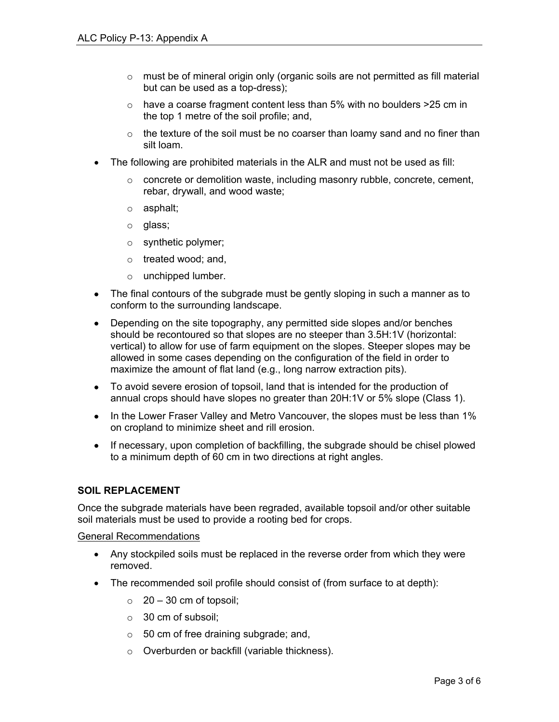- $\circ$  must be of mineral origin only (organic soils are not permitted as fill material but can be used as a top-dress);
- o have a coarse fragment content less than 5% with no boulders >25 cm in the top 1 metre of the soil profile; and,
- $\circ$  the texture of the soil must be no coarser than loamy sand and no finer than silt loam.
- The following are prohibited materials in the ALR and must not be used as fill:
	- $\circ$  concrete or demolition waste, including masonry rubble, concrete, cement, rebar, drywall, and wood waste;
	- o asphalt;
	- o glass;
	- o synthetic polymer;
	- o treated wood; and,
	- o unchipped lumber.
- The final contours of the subgrade must be gently sloping in such a manner as to conform to the surrounding landscape.
- Depending on the site topography, any permitted side slopes and/or benches should be recontoured so that slopes are no steeper than 3.5H:1V (horizontal: vertical) to allow for use of farm equipment on the slopes. Steeper slopes may be allowed in some cases depending on the configuration of the field in order to maximize the amount of flat land (e.g., long narrow extraction pits).
- To avoid severe erosion of topsoil, land that is intended for the production of annual crops should have slopes no greater than 20H:1V or 5% slope (Class 1).
- In the Lower Fraser Valley and Metro Vancouver, the slopes must be less than 1% on cropland to minimize sheet and rill erosion.
- If necessary, upon completion of backfilling, the subgrade should be chisel plowed to a minimum depth of 60 cm in two directions at right angles.

### **SOIL REPLACEMENT**

Once the subgrade materials have been regraded, available topsoil and/or other suitable soil materials must be used to provide a rooting bed for crops.

#### General Recommendations

- Any stockpiled soils must be replaced in the reverse order from which they were removed.
- The recommended soil profile should consist of (from surface to at depth):
	- $\circ$  20 30 cm of topsoil;
	- o 30 cm of subsoil;
	- $\circ$  50 cm of free draining subgrade; and,
	- o Overburden or backfill (variable thickness).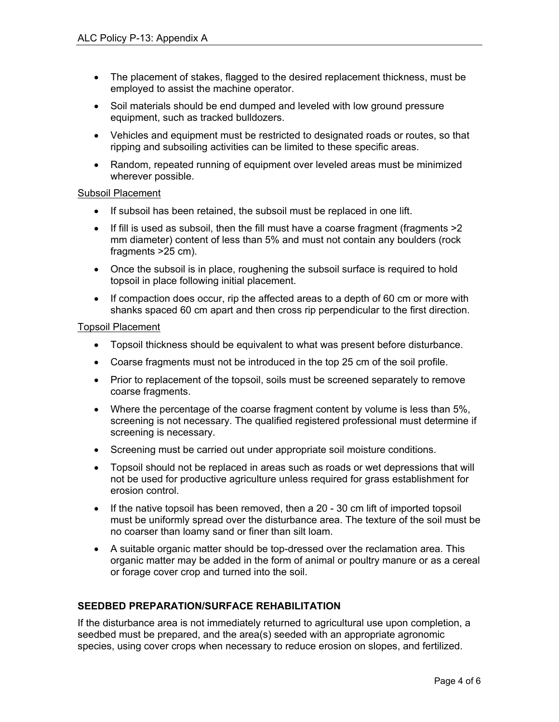- The placement of stakes, flagged to the desired replacement thickness, must be employed to assist the machine operator.
- Soil materials should be end dumped and leveled with low ground pressure equipment, such as tracked bulldozers.
- Vehicles and equipment must be restricted to designated roads or routes, so that ripping and subsoiling activities can be limited to these specific areas.
- Random, repeated running of equipment over leveled areas must be minimized wherever possible.

#### Subsoil Placement

- If subsoil has been retained, the subsoil must be replaced in one lift.
- If fill is used as subsoil, then the fill must have a coarse fragment (fragments  $>2$ mm diameter) content of less than 5% and must not contain any boulders (rock fragments >25 cm).
- Once the subsoil is in place, roughening the subsoil surface is required to hold topsoil in place following initial placement.
- If compaction does occur, rip the affected areas to a depth of 60 cm or more with shanks spaced 60 cm apart and then cross rip perpendicular to the first direction.

#### Topsoil Placement

- Topsoil thickness should be equivalent to what was present before disturbance.
- Coarse fragments must not be introduced in the top 25 cm of the soil profile.
- Prior to replacement of the topsoil, soils must be screened separately to remove coarse fragments.
- Where the percentage of the coarse fragment content by volume is less than 5%, screening is not necessary. The qualified registered professional must determine if screening is necessary.
- Screening must be carried out under appropriate soil moisture conditions.
- Topsoil should not be replaced in areas such as roads or wet depressions that will not be used for productive agriculture unless required for grass establishment for erosion control.
- If the native topsoil has been removed, then a 20 30 cm lift of imported topsoil must be uniformly spread over the disturbance area. The texture of the soil must be no coarser than loamy sand or finer than silt loam.
- A suitable organic matter should be top-dressed over the reclamation area. This organic matter may be added in the form of animal or poultry manure or as a cereal or forage cover crop and turned into the soil.

### **SEEDBED PREPARATION/SURFACE REHABILITATION**

If the disturbance area is not immediately returned to agricultural use upon completion, a seedbed must be prepared, and the area(s) seeded with an appropriate agronomic species, using cover crops when necessary to reduce erosion on slopes, and fertilized.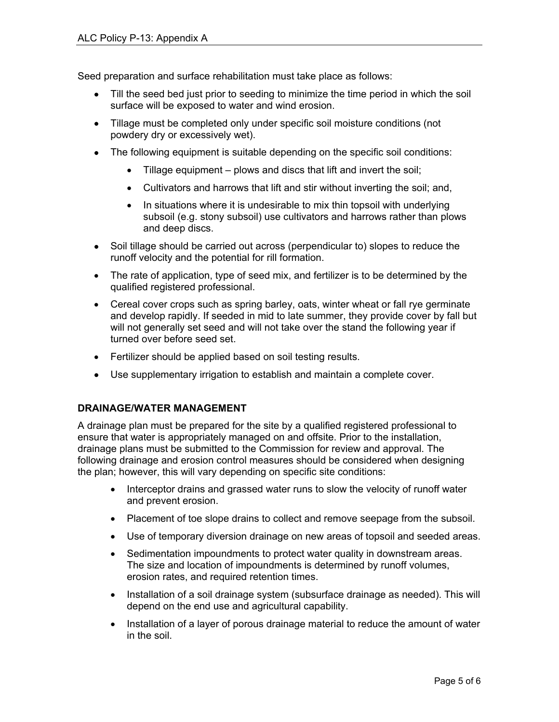Seed preparation and surface rehabilitation must take place as follows:

- Till the seed bed just prior to seeding to minimize the time period in which the soil surface will be exposed to water and wind erosion.
- Tillage must be completed only under specific soil moisture conditions (not powdery dry or excessively wet).
- The following equipment is suitable depending on the specific soil conditions:
	- Tillage equipment plows and discs that lift and invert the soil;
	- Cultivators and harrows that lift and stir without inverting the soil; and,
	- In situations where it is undesirable to mix thin topsoil with underlying subsoil (e.g. stony subsoil) use cultivators and harrows rather than plows and deep discs.
- Soil tillage should be carried out across (perpendicular to) slopes to reduce the runoff velocity and the potential for rill formation.
- The rate of application, type of seed mix, and fertilizer is to be determined by the qualified registered professional.
- Cereal cover crops such as spring barley, oats, winter wheat or fall rye germinate and develop rapidly. If seeded in mid to late summer, they provide cover by fall but will not generally set seed and will not take over the stand the following year if turned over before seed set.
- Fertilizer should be applied based on soil testing results.
- Use supplementary irrigation to establish and maintain a complete cover.

## **DRAINAGE/WATER MANAGEMENT**

A drainage plan must be prepared for the site by a qualified registered professional to ensure that water is appropriately managed on and offsite. Prior to the installation, drainage plans must be submitted to the Commission for review and approval. The following drainage and erosion control measures should be considered when designing the plan; however, this will vary depending on specific site conditions:

- Interceptor drains and grassed water runs to slow the velocity of runoff water and prevent erosion.
- Placement of toe slope drains to collect and remove seepage from the subsoil.
- Use of temporary diversion drainage on new areas of topsoil and seeded areas.
- Sedimentation impoundments to protect water quality in downstream areas. The size and location of impoundments is determined by runoff volumes, erosion rates, and required retention times.
- Installation of a soil drainage system (subsurface drainage as needed). This will depend on the end use and agricultural capability.
- Installation of a layer of porous drainage material to reduce the amount of water in the soil.